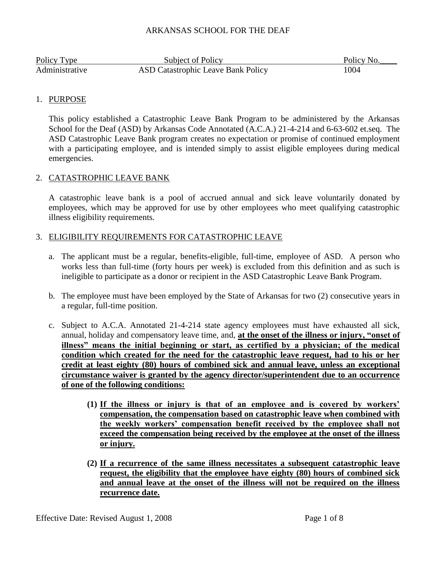| Policy Type    | <b>Subject of Policy</b>                  | Policy No. |
|----------------|-------------------------------------------|------------|
| Administrative | <b>ASD Catastrophic Leave Bank Policy</b> | 1004       |

## 1. PURPOSE

This policy established a Catastrophic Leave Bank Program to be administered by the Arkansas School for the Deaf (ASD) by Arkansas Code Annotated (A.C.A.) 21-4-214 and 6-63-602 et.seq. The ASD Catastrophic Leave Bank program creates no expectation or promise of continued employment with a participating employee, and is intended simply to assist eligible employees during medical emergencies.

# 2. CATASTROPHIC LEAVE BANK

A catastrophic leave bank is a pool of accrued annual and sick leave voluntarily donated by employees, which may be approved for use by other employees who meet qualifying catastrophic illness eligibility requirements.

# 3. ELIGIBILITY REQUIREMENTS FOR CATASTROPHIC LEAVE

- a. The applicant must be a regular, benefits-eligible, full-time, employee of ASD. A person who works less than full-time (forty hours per week) is excluded from this definition and as such is ineligible to participate as a donor or recipient in the ASD Catastrophic Leave Bank Program.
- b. The employee must have been employed by the State of Arkansas for two (2) consecutive years in a regular, full-time position.
- c. Subject to A.C.A. Annotated 21-4-214 state agency employees must have exhausted all sick, annual, holiday and compensatory leave time, and, **at the onset of the illness or injury, "onset of illness" means the initial beginning or start, as certified by a physician; of the medical condition which created for the need for the catastrophic leave request, had to his or her credit at least eighty (80) hours of combined sick and annual leave, unless an exceptional circumstance waiver is granted by the agency director/superintendent due to an occurrence of one of the following conditions:** 
	- **(1) If the illness or injury is that of an employee and is covered by workers' compensation, the compensation based on catastrophic leave when combined with the weekly workers' compensation benefit received by the employee shall not exceed the compensation being received by the employee at the onset of the illness or injury.**
	- **(2) If a recurrence of the same illness necessitates a subsequent catastrophic leave request, the eligibility that the employee have eighty (80) hours of combined sick and annual leave at the onset of the illness will not be required on the illness recurrence date.**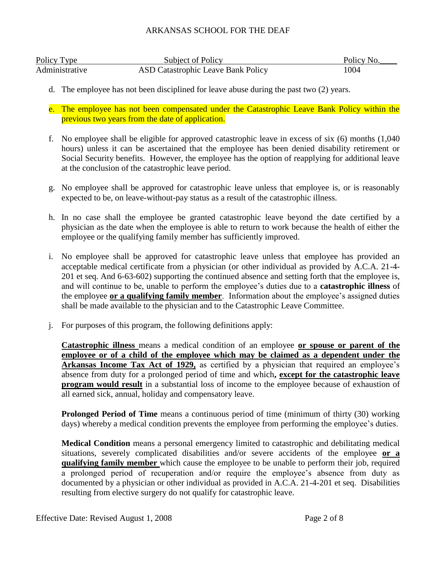| Policy Type    | Subject of Policy                         | Policy No. |
|----------------|-------------------------------------------|------------|
| Administrative | <b>ASD Catastrophic Leave Bank Policy</b> | 1004       |

- d. The employee has not been disciplined for leave abuse during the past two (2) years.
- e. The employee has not been compensated under the Catastrophic Leave Bank Policy within the previous two years from the date of application.
- f. No employee shall be eligible for approved catastrophic leave in excess of six (6) months (1,040 hours) unless it can be ascertained that the employee has been denied disability retirement or Social Security benefits. However, the employee has the option of reapplying for additional leave at the conclusion of the catastrophic leave period.
- g. No employee shall be approved for catastrophic leave unless that employee is, or is reasonably expected to be, on leave-without-pay status as a result of the catastrophic illness.
- h. In no case shall the employee be granted catastrophic leave beyond the date certified by a physician as the date when the employee is able to return to work because the health of either the employee or the qualifying family member has sufficiently improved.
- i. No employee shall be approved for catastrophic leave unless that employee has provided an acceptable medical certificate from a physician (or other individual as provided by A.C.A. 21-4- 201 et seq. And 6-63-602) supporting the continued absence and setting forth that the employee is, and will continue to be, unable to perform the employee's duties due to a **catastrophic illness** of the employee **or a qualifying family member**. Information about the employee's assigned duties shall be made available to the physician and to the Catastrophic Leave Committee.
- j. For purposes of this program, the following definitions apply:

**Catastrophic illness** means a medical condition of an employee **or spouse or parent of the employee or of a child of the employee which may be claimed as a dependent under the Arkansas Income Tax Act of 1929,** as certified by a physician that required an employee's absence from duty for a prolonged period of time and which**, except for the catastrophic leave program would result** in a substantial loss of income to the employee because of exhaustion of all earned sick, annual, holiday and compensatory leave.

**Prolonged Period of Time** means a continuous period of time (minimum of thirty (30) working days) whereby a medical condition prevents the employee from performing the employee's duties.

**Medical Condition** means a personal emergency limited to catastrophic and debilitating medical situations, severely complicated disabilities and/or severe accidents of the employee **or a qualifying family member** which cause the employee to be unable to perform their job, required a prolonged period of recuperation and/or require the employee's absence from duty as documented by a physician or other individual as provided in A.C.A. 21-4-201 et seq. Disabilities resulting from elective surgery do not qualify for catastrophic leave.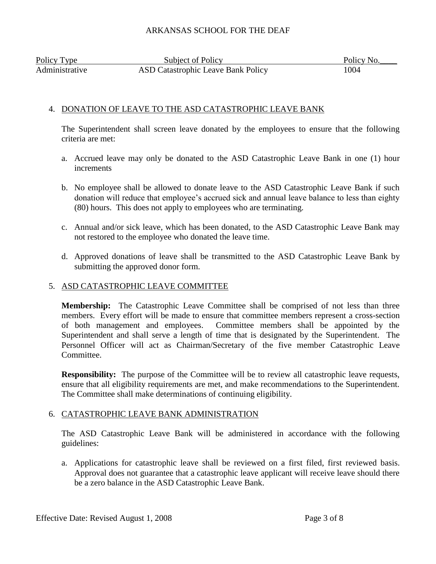| Policy Type    | Subject of Policy                         | Policy No. |
|----------------|-------------------------------------------|------------|
| Administrative | <b>ASD Catastrophic Leave Bank Policy</b> | 1004       |

## 4. DONATION OF LEAVE TO THE ASD CATASTROPHIC LEAVE BANK

The Superintendent shall screen leave donated by the employees to ensure that the following criteria are met:

- a. Accrued leave may only be donated to the ASD Catastrophic Leave Bank in one (1) hour increments
- b. No employee shall be allowed to donate leave to the ASD Catastrophic Leave Bank if such donation will reduce that employee's accrued sick and annual leave balance to less than eighty (80) hours. This does not apply to employees who are terminating.
- c. Annual and/or sick leave, which has been donated, to the ASD Catastrophic Leave Bank may not restored to the employee who donated the leave time.
- d. Approved donations of leave shall be transmitted to the ASD Catastrophic Leave Bank by submitting the approved donor form.

### 5. ASD CATASTROPHIC LEAVE COMMITTEE

**Membership:** The Catastrophic Leave Committee shall be comprised of not less than three members. Every effort will be made to ensure that committee members represent a cross-section of both management and employees. Committee members shall be appointed by the Superintendent and shall serve a length of time that is designated by the Superintendent. The Personnel Officer will act as Chairman/Secretary of the five member Catastrophic Leave Committee.

**Responsibility:** The purpose of the Committee will be to review all catastrophic leave requests, ensure that all eligibility requirements are met, and make recommendations to the Superintendent. The Committee shall make determinations of continuing eligibility.

### 6. CATASTROPHIC LEAVE BANK ADMINISTRATION

The ASD Catastrophic Leave Bank will be administered in accordance with the following guidelines:

a. Applications for catastrophic leave shall be reviewed on a first filed, first reviewed basis. Approval does not guarantee that a catastrophic leave applicant will receive leave should there be a zero balance in the ASD Catastrophic Leave Bank.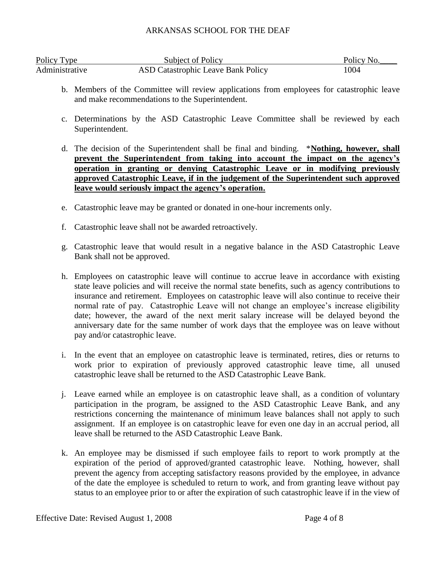| Policy Type    | <b>Subject of Policy</b>                  | Policy No. |
|----------------|-------------------------------------------|------------|
| Administrative | <b>ASD Catastrophic Leave Bank Policy</b> | 1004       |

- b. Members of the Committee will review applications from employees for catastrophic leave and make recommendations to the Superintendent.
- c. Determinations by the ASD Catastrophic Leave Committee shall be reviewed by each Superintendent.
- d. The decision of the Superintendent shall be final and binding. \***Nothing, however, shall prevent the Superintendent from taking into account the impact on the agency's operation in granting or denying Catastrophic Leave or in modifying previously approved Catastrophic Leave, if in the judgement of the Superintendent such approved leave would seriously impact the agency's operation.**
- e. Catastrophic leave may be granted or donated in one-hour increments only.
- f. Catastrophic leave shall not be awarded retroactively.
- g. Catastrophic leave that would result in a negative balance in the ASD Catastrophic Leave Bank shall not be approved.
- h. Employees on catastrophic leave will continue to accrue leave in accordance with existing state leave policies and will receive the normal state benefits, such as agency contributions to insurance and retirement. Employees on catastrophic leave will also continue to receive their normal rate of pay. Catastrophic Leave will not change an employee's increase eligibility date; however, the award of the next merit salary increase will be delayed beyond the anniversary date for the same number of work days that the employee was on leave without pay and/or catastrophic leave.
- i. In the event that an employee on catastrophic leave is terminated, retires, dies or returns to work prior to expiration of previously approved catastrophic leave time, all unused catastrophic leave shall be returned to the ASD Catastrophic Leave Bank.
- j. Leave earned while an employee is on catastrophic leave shall, as a condition of voluntary participation in the program, be assigned to the ASD Catastrophic Leave Bank, and any restrictions concerning the maintenance of minimum leave balances shall not apply to such assignment. If an employee is on catastrophic leave for even one day in an accrual period, all leave shall be returned to the ASD Catastrophic Leave Bank.
- k. An employee may be dismissed if such employee fails to report to work promptly at the expiration of the period of approved/granted catastrophic leave. Nothing, however, shall prevent the agency from accepting satisfactory reasons provided by the employee, in advance of the date the employee is scheduled to return to work, and from granting leave without pay status to an employee prior to or after the expiration of such catastrophic leave if in the view of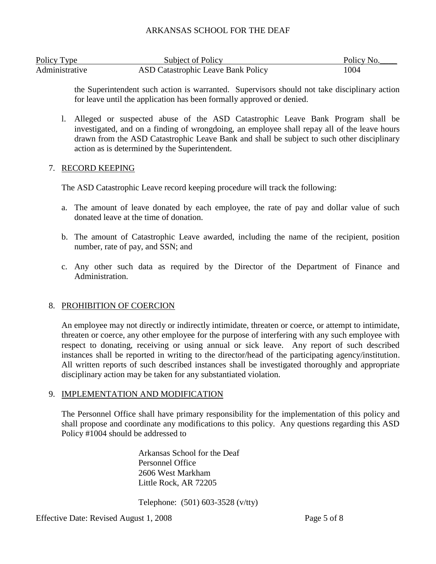| Policy Type    | Subject of Policy                         | Policy No. |
|----------------|-------------------------------------------|------------|
| Administrative | <b>ASD Catastrophic Leave Bank Policy</b> | 1004       |

the Superintendent such action is warranted. Supervisors should not take disciplinary action for leave until the application has been formally approved or denied.

l. Alleged or suspected abuse of the ASD Catastrophic Leave Bank Program shall be investigated, and on a finding of wrongdoing, an employee shall repay all of the leave hours drawn from the ASD Catastrophic Leave Bank and shall be subject to such other disciplinary action as is determined by the Superintendent.

### 7. RECORD KEEPING

The ASD Catastrophic Leave record keeping procedure will track the following:

- a. The amount of leave donated by each employee, the rate of pay and dollar value of such donated leave at the time of donation.
- b. The amount of Catastrophic Leave awarded, including the name of the recipient, position number, rate of pay, and SSN; and
- c. Any other such data as required by the Director of the Department of Finance and Administration.

### 8. PROHIBITION OF COERCION

An employee may not directly or indirectly intimidate, threaten or coerce, or attempt to intimidate, threaten or coerce, any other employee for the purpose of interfering with any such employee with respect to donating, receiving or using annual or sick leave. Any report of such described instances shall be reported in writing to the director/head of the participating agency/institution. All written reports of such described instances shall be investigated thoroughly and appropriate disciplinary action may be taken for any substantiated violation.

### 9. IMPLEMENTATION AND MODIFICATION

The Personnel Office shall have primary responsibility for the implementation of this policy and shall propose and coordinate any modifications to this policy. Any questions regarding this ASD Policy #1004 should be addressed to

> Arkansas School for the Deaf Personnel Office 2606 West Markham Little Rock, AR 72205

Telephone: (501) 603-3528 (v/tty)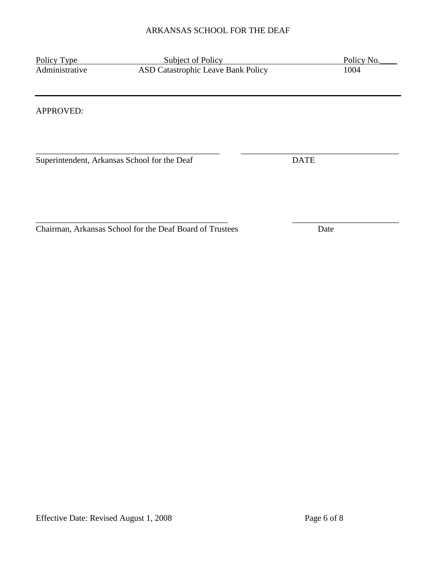| Policy Type                                  | Subject of Policy                  |             | Policy No. |
|----------------------------------------------|------------------------------------|-------------|------------|
| Administrative                               | ASD Catastrophic Leave Bank Policy |             | 1004       |
|                                              |                                    |             |            |
| APPROVED:                                    |                                    |             |            |
|                                              |                                    |             |            |
|                                              |                                    |             |            |
| Superintendent, Arkansas School for the Deaf |                                    | <b>DATE</b> |            |
|                                              |                                    |             |            |
|                                              |                                    |             |            |
|                                              |                                    |             |            |

Chairman, Arkansas School for the Deaf Board of Trustees Date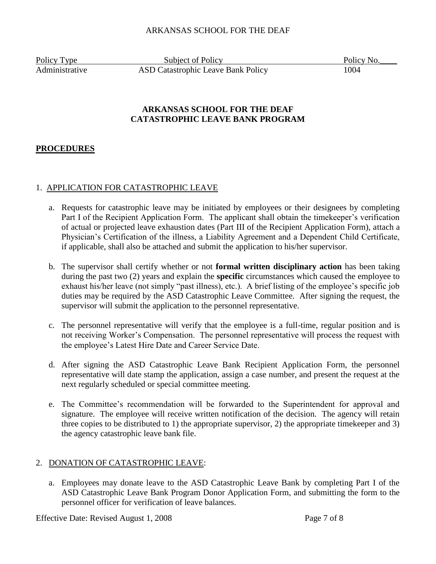Policy Type Subject of Policy Policy Policy No. Administrative ASD Catastrophic Leave Bank Policy 1004

# **ARKANSAS SCHOOL FOR THE DEAF CATASTROPHIC LEAVE BANK PROGRAM**

# **PROCEDURES**

## 1. APPLICATION FOR CATASTROPHIC LEAVE

- a. Requests for catastrophic leave may be initiated by employees or their designees by completing Part I of the Recipient Application Form. The applicant shall obtain the timekeeper's verification of actual or projected leave exhaustion dates (Part III of the Recipient Application Form), attach a Physician's Certification of the illness, a Liability Agreement and a Dependent Child Certificate, if applicable, shall also be attached and submit the application to his/her supervisor.
- b. The supervisor shall certify whether or not **formal written disciplinary action** has been taking during the past two (2) years and explain the **specific** circumstances which caused the employee to exhaust his/her leave (not simply "past illness), etc.). A brief listing of the employee's specific job duties may be required by the ASD Catastrophic Leave Committee. After signing the request, the supervisor will submit the application to the personnel representative.
- c. The personnel representative will verify that the employee is a full-time, regular position and is not receiving Worker's Compensation. The personnel representative will process the request with the employee's Latest Hire Date and Career Service Date.
- d. After signing the ASD Catastrophic Leave Bank Recipient Application Form, the personnel representative will date stamp the application, assign a case number, and present the request at the next regularly scheduled or special committee meeting.
- e. The Committee's recommendation will be forwarded to the Superintendent for approval and signature. The employee will receive written notification of the decision. The agency will retain three copies to be distributed to 1) the appropriate supervisor, 2) the appropriate timekeeper and 3) the agency catastrophic leave bank file.

## 2. DONATION OF CATASTROPHIC LEAVE:

a. Employees may donate leave to the ASD Catastrophic Leave Bank by completing Part I of the ASD Catastrophic Leave Bank Program Donor Application Form, and submitting the form to the personnel officer for verification of leave balances.

Effective Date: Revised August 1, 2008 Page 7 of 8